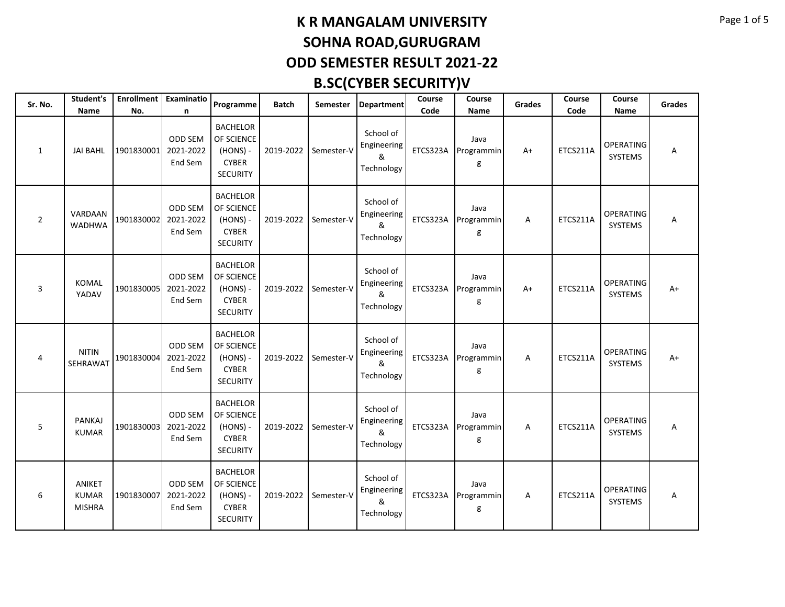| Sr. No.        | Student's<br>Name                       | No.        | Enrollment   Examinatio<br>n           | Programme                                                                      | <b>Batch</b> | <b>Semester</b> | <b>Department</b>                           | Course<br>Code | Course<br>Name          | <b>Grades</b> | Course<br>Code | Course<br>Name              | <b>Grades</b> |
|----------------|-----------------------------------------|------------|----------------------------------------|--------------------------------------------------------------------------------|--------------|-----------------|---------------------------------------------|----------------|-------------------------|---------------|----------------|-----------------------------|---------------|
| 1              | <b>JAI BAHL</b>                         | 1901830001 | <b>ODD SEM</b><br>2021-2022<br>End Sem | <b>BACHELOR</b><br>OF SCIENCE<br>$(HONS) -$<br><b>CYBER</b><br><b>SECURITY</b> | 2019-2022    | Semester-V      | School of<br>Engineering<br>&<br>Technology | ETCS323A       | Java<br>Programmin<br>g | $A+$          | ETCS211A       | <b>OPERATING</b><br>SYSTEMS | Α             |
| $\overline{2}$ | VARDAAN<br><b>WADHWA</b>                | 1901830002 | ODD SEM<br>2021-2022<br>End Sem        | <b>BACHELOR</b><br>OF SCIENCE<br>$(HONS) -$<br><b>CYBER</b><br><b>SECURITY</b> | 2019-2022    | Semester-V      | School of<br>Engineering<br>&<br>Technology | ETCS323A       | Java<br>Programmin<br>g | Α             | ETCS211A       | <b>OPERATING</b><br>SYSTEMS | Α             |
| 3              | <b>KOMAL</b><br>YADAV                   | 1901830005 | ODD SEM<br>2021-2022<br>End Sem        | <b>BACHELOR</b><br>OF SCIENCE<br>$(HONS) -$<br><b>CYBER</b><br><b>SECURITY</b> | 2019-2022    | Semester-V      | School of<br>Engineering<br>&<br>Technology | ETCS323A       | Java<br>Programmin<br>g | $A+$          | ETCS211A       | <b>OPERATING</b><br>SYSTEMS | $A+$          |
| 4              | <b>NITIN</b><br>SEHRAWAT                | 1901830004 | ODD SEM<br>2021-2022<br>End Sem        | <b>BACHELOR</b><br>OF SCIENCE<br>$(HONS) -$<br><b>CYBER</b><br><b>SECURITY</b> | 2019-2022    | Semester-V      | School of<br>Engineering<br>&<br>Technology | ETCS323A       | Java<br>Programmin<br>g | A             | ETCS211A       | <b>OPERATING</b><br>SYSTEMS | $A+$          |
| 5              | PANKAJ<br><b>KUMAR</b>                  | 1901830003 | ODD SEM<br>2021-2022<br>End Sem        | <b>BACHELOR</b><br>OF SCIENCE<br>$(HONS) -$<br><b>CYBER</b><br><b>SECURITY</b> | 2019-2022    | Semester-V      | School of<br>Engineering<br>&<br>Technology | ETCS323A       | Java<br>Programmin<br>g | Α             | ETCS211A       | <b>OPERATING</b><br>SYSTEMS | Α             |
| 6              | ANIKET<br><b>KUMAR</b><br><b>MISHRA</b> | 1901830007 | ODD SEM<br>2021-2022<br>End Sem        | <b>BACHELOR</b><br>OF SCIENCE<br>$(HONS) -$<br><b>CYBER</b><br><b>SECURITY</b> | 2019-2022    | Semester-V      | School of<br>Engineering<br>&<br>Technology | ETCS323A       | Java<br>Programmin<br>g | A             | ETCS211A       | <b>OPERATING</b><br>SYSTEMS | Α             |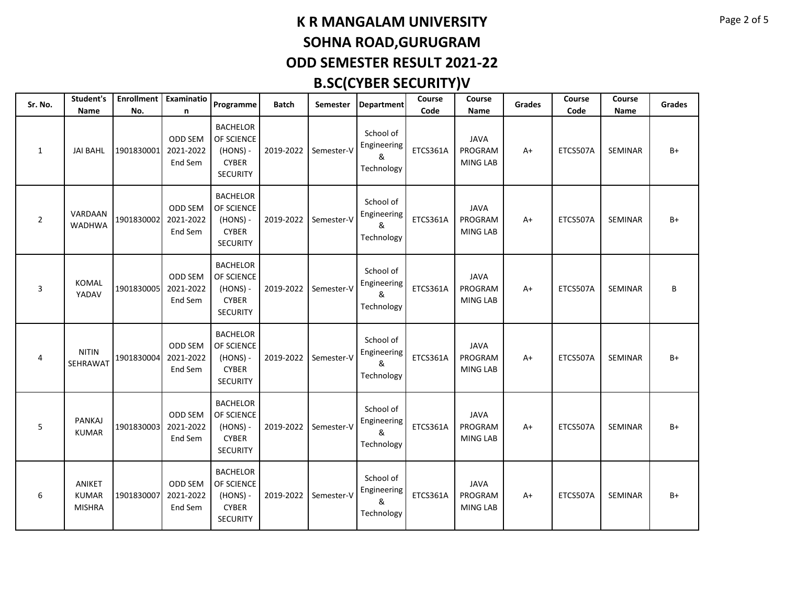| Sr. No.        | Student's<br>Name                       | No.        | Enrollment   Examinatio<br>n    | Programme                                                                      | Batch     | <b>Semester</b> | <b>Department</b>                           | Course<br>Code | Course<br>Name                            | <b>Grades</b> | Course<br>Code | Course<br>Name | <b>Grades</b> |
|----------------|-----------------------------------------|------------|---------------------------------|--------------------------------------------------------------------------------|-----------|-----------------|---------------------------------------------|----------------|-------------------------------------------|---------------|----------------|----------------|---------------|
| 1              | <b>JAI BAHL</b>                         | 1901830001 | ODD SEM<br>2021-2022<br>End Sem | <b>BACHELOR</b><br>OF SCIENCE<br>$(HONS) -$<br><b>CYBER</b><br><b>SECURITY</b> | 2019-2022 | Semester-V      | School of<br>Engineering<br>&<br>Technology | ETCS361A       | <b>JAVA</b><br>PROGRAM<br>MING LAB        | $A+$          | ETCS507A       | <b>SEMINAR</b> | $B+$          |
| $\overline{2}$ | VARDAAN<br><b>WADHWA</b>                | 1901830002 | ODD SEM<br>2021-2022<br>End Sem | <b>BACHELOR</b><br>OF SCIENCE<br>$(HONS) -$<br><b>CYBER</b><br><b>SECURITY</b> | 2019-2022 | Semester-V      | School of<br>Engineering<br>&<br>Technology | ETCS361A       | <b>JAVA</b><br>PROGRAM<br>MING LAB        | $A+$          | ETCS507A       | SEMINAR        | $B+$          |
| 3              | <b>KOMAL</b><br>YADAV                   | 1901830005 | ODD SEM<br>2021-2022<br>End Sem | <b>BACHELOR</b><br>OF SCIENCE<br>(HONS) -<br><b>CYBER</b><br><b>SECURITY</b>   | 2019-2022 | Semester-V      | School of<br>Engineering<br>&<br>Technology | ETCS361A       | <b>JAVA</b><br>PROGRAM<br><b>MING LAB</b> | A+            | ETCS507A       | SEMINAR        | В             |
| 4              | <b>NITIN</b><br>SEHRAWAT                | 1901830004 | ODD SEM<br>2021-2022<br>End Sem | <b>BACHELOR</b><br>OF SCIENCE<br>$(HONS) -$<br><b>CYBER</b><br><b>SECURITY</b> | 2019-2022 | Semester-V      | School of<br>Engineering<br>&<br>Technology | ETCS361A       | <b>JAVA</b><br>PROGRAM<br><b>MING LAB</b> | $A+$          | ETCS507A       | <b>SEMINAR</b> | B+            |
| 5              | PANKAJ<br><b>KUMAR</b>                  | 1901830003 | ODD SEM<br>2021-2022<br>End Sem | <b>BACHELOR</b><br>OF SCIENCE<br>$(HONS) -$<br><b>CYBER</b><br><b>SECURITY</b> | 2019-2022 | Semester-V      | School of<br>Engineering<br>&<br>Technology | ETCS361A       | <b>JAVA</b><br>PROGRAM<br>MING LAB        | A+            | ETCS507A       | SEMINAR        | B+            |
| 6              | ANIKET<br><b>KUMAR</b><br><b>MISHRA</b> | 1901830007 | ODD SEM<br>2021-2022<br>End Sem | <b>BACHELOR</b><br>OF SCIENCE<br>$(HONS) -$<br><b>CYBER</b><br><b>SECURITY</b> | 2019-2022 | Semester-V      | School of<br>Engineering<br>&<br>Technology | ETCS361A       | <b>JAVA</b><br>PROGRAM<br>MING LAB        | $A+$          | ETCS507A       | <b>SEMINAR</b> | $B+$          |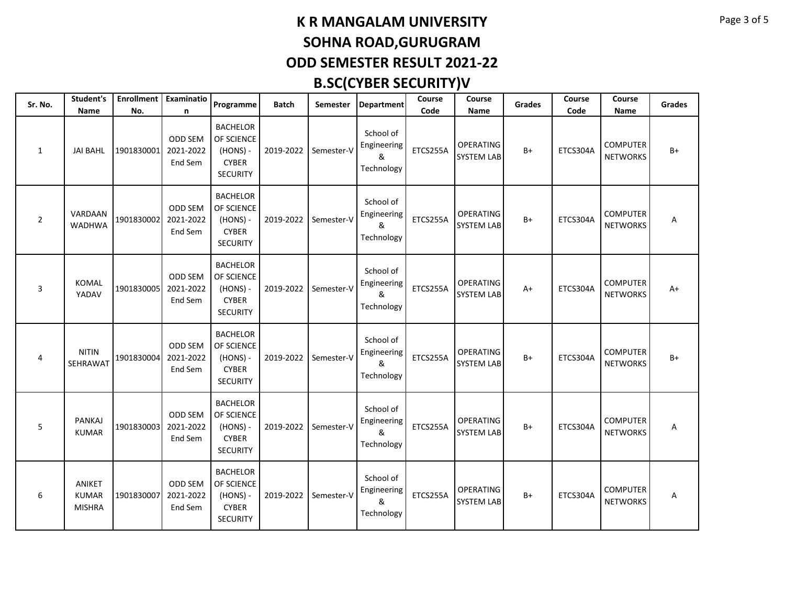| Sr. No.        | Student's<br><b>Name</b>                | No.        | Enrollment   Examinatio<br>n           | Programme                                                                      | <b>Batch</b> | Semester   | <b>Department</b>                           | Course<br>Code | Course<br>Name                        | <b>Grades</b> | Course<br>Code | Course<br>Name                     | <b>Grades</b> |
|----------------|-----------------------------------------|------------|----------------------------------------|--------------------------------------------------------------------------------|--------------|------------|---------------------------------------------|----------------|---------------------------------------|---------------|----------------|------------------------------------|---------------|
| 1              | <b>JAI BAHL</b>                         | 1901830001 | <b>ODD SEM</b><br>2021-2022<br>End Sem | <b>BACHELOR</b><br>OF SCIENCE<br>$(HONS) -$<br><b>CYBER</b><br><b>SECURITY</b> | 2019-2022    | Semester-V | School of<br>Engineering<br>&<br>Technology | ETCS255A       | <b>OPERATING</b><br>SYSTEM LAB        | $B+$          | ETCS304A       | <b>COMPUTER</b><br><b>NETWORKS</b> | $B+$          |
| $\overline{2}$ | VARDAAN<br><b>WADHWA</b>                | 1901830002 | ODD SEM<br>2021-2022<br>End Sem        | <b>BACHELOR</b><br>OF SCIENCE<br>$(HONS) -$<br><b>CYBER</b><br><b>SECURITY</b> | 2019-2022    | Semester-V | School of<br>Engineering<br>&<br>Technology | ETCS255A       | OPERATING<br><b>SYSTEM LAB</b>        | $B+$          | ETCS304A       | <b>COMPUTER</b><br><b>NETWORKS</b> | Α             |
| 3              | <b>KOMAL</b><br>YADAV                   | 1901830005 | ODD SEM<br>2021-2022<br>End Sem        | <b>BACHELOR</b><br>OF SCIENCE<br>$(HONS) -$<br><b>CYBER</b><br><b>SECURITY</b> | 2019-2022    | Semester-V | School of<br>Engineering<br>&<br>Technology | ETCS255A       | <b>OPERATING</b><br><b>SYSTEM LAB</b> | A+            | ETCS304A       | <b>COMPUTER</b><br><b>NETWORKS</b> | A+            |
| 4              | <b>NITIN</b><br>SEHRAWAT                | 1901830004 | ODD SEM<br>2021-2022<br>End Sem        | <b>BACHELOR</b><br>OF SCIENCE<br>$(HONS) -$<br><b>CYBER</b><br><b>SECURITY</b> | 2019-2022    | Semester-V | School of<br>Engineering<br>&<br>Technology | ETCS255A       | <b>OPERATING</b><br><b>SYSTEM LAB</b> | $B+$          | ETCS304A       | <b>COMPUTER</b><br><b>NETWORKS</b> | B+            |
| 5              | PANKAJ<br><b>KUMAR</b>                  | 1901830003 | ODD SEM<br>2021-2022<br>End Sem        | <b>BACHELOR</b><br>OF SCIENCE<br>$(HONS) -$<br><b>CYBER</b><br><b>SECURITY</b> | 2019-2022    | Semester-V | School of<br>Engineering<br>&<br>Technology | ETCS255A       | <b>OPERATING</b><br>SYSTEM LAB        | $B+$          | ETCS304A       | <b>COMPUTER</b><br><b>NETWORKS</b> | А             |
| 6              | ANIKET<br><b>KUMAR</b><br><b>MISHRA</b> | 1901830007 | ODD SEM<br>2021-2022<br>End Sem        | <b>BACHELOR</b><br>OF SCIENCE<br>$(HONS) -$<br><b>CYBER</b><br><b>SECURITY</b> | 2019-2022    | Semester-V | School of<br>Engineering<br>&<br>Technology | ETCS255A       | <b>OPERATING</b><br><b>SYSTEM LAB</b> | $B+$          | ETCS304A       | <b>COMPUTER</b><br><b>NETWORKS</b> | Α             |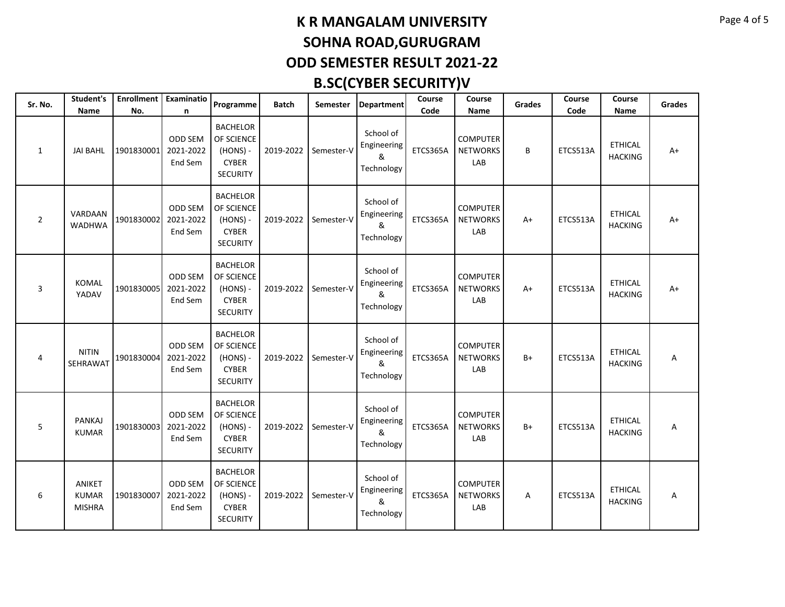| Sr. No.        | Student's<br>Name                       | No.        | Enrollment   Examinatio<br>n           | Programme                                                                      | <b>Batch</b> | Semester   | <b>Department</b>                           | Course<br>Code | Course<br>Name                            | <b>Grades</b> | Course<br>Code | Course<br>Name                   | <b>Grades</b> |
|----------------|-----------------------------------------|------------|----------------------------------------|--------------------------------------------------------------------------------|--------------|------------|---------------------------------------------|----------------|-------------------------------------------|---------------|----------------|----------------------------------|---------------|
| 1              | <b>JAI BAHL</b>                         | 1901830001 | <b>ODD SEM</b><br>2021-2022<br>End Sem | <b>BACHELOR</b><br>OF SCIENCE<br>$(HONS) -$<br><b>CYBER</b><br><b>SECURITY</b> | 2019-2022    | Semester-V | School of<br>Engineering<br>&<br>Technology | ETCS365A       | <b>COMPUTER</b><br><b>NETWORKS</b><br>LAB | B             | ETCS513A       | <b>ETHICAL</b><br><b>HACKING</b> | $A+$          |
| $\overline{2}$ | VARDAAN<br><b>WADHWA</b>                | 1901830002 | ODD SEM<br>2021-2022<br>End Sem        | <b>BACHELOR</b><br>OF SCIENCE<br>$(HONS) -$<br><b>CYBER</b><br><b>SECURITY</b> | 2019-2022    | Semester-V | School of<br>Engineering<br>&<br>Technology | ETCS365A       | <b>COMPUTER</b><br><b>NETWORKS</b><br>LAB | $A+$          | ETCS513A       | <b>ETHICAL</b><br><b>HACKING</b> | $A+$          |
| 3              | <b>KOMAL</b><br>YADAV                   | 1901830005 | ODD SEM<br>2021-2022<br>End Sem        | <b>BACHELOR</b><br>OF SCIENCE<br>$(HONS) -$<br><b>CYBER</b><br><b>SECURITY</b> | 2019-2022    | Semester-V | School of<br>Engineering<br>&<br>Technology | ETCS365A       | <b>COMPUTER</b><br><b>NETWORKS</b><br>LAB | $A+$          | ETCS513A       | <b>ETHICAL</b><br><b>HACKING</b> | $A+$          |
| 4              | <b>NITIN</b><br>SEHRAWAT                | 1901830004 | ODD SEM<br>2021-2022<br>End Sem        | <b>BACHELOR</b><br>OF SCIENCE<br>$(HONS) -$<br><b>CYBER</b><br><b>SECURITY</b> | 2019-2022    | Semester-V | School of<br>Engineering<br>&<br>Technology | ETCS365A       | <b>COMPUTER</b><br><b>NETWORKS</b><br>LAB | $B+$          | ETCS513A       | <b>ETHICAL</b><br><b>HACKING</b> | Α             |
| 5              | PANKAJ<br><b>KUMAR</b>                  | 1901830003 | ODD SEM<br>2021-2022<br>End Sem        | <b>BACHELOR</b><br>OF SCIENCE<br>$(HONS) -$<br><b>CYBER</b><br><b>SECURITY</b> | 2019-2022    | Semester-V | School of<br>Engineering<br>&<br>Technology | ETCS365A       | <b>COMPUTER</b><br><b>NETWORKS</b><br>LAB | $B+$          | ETCS513A       | <b>ETHICAL</b><br><b>HACKING</b> | Α             |
| 6              | ANIKET<br><b>KUMAR</b><br><b>MISHRA</b> | 1901830007 | ODD SEM<br>2021-2022<br>End Sem        | <b>BACHELOR</b><br>OF SCIENCE<br>$(HONS) -$<br><b>CYBER</b><br><b>SECURITY</b> | 2019-2022    | Semester-V | School of<br>Engineering<br>&<br>Technology | ETCS365A       | <b>COMPUTER</b><br><b>NETWORKS</b><br>LAB | A             | ETCS513A       | <b>ETHICAL</b><br><b>HACKING</b> | Α             |